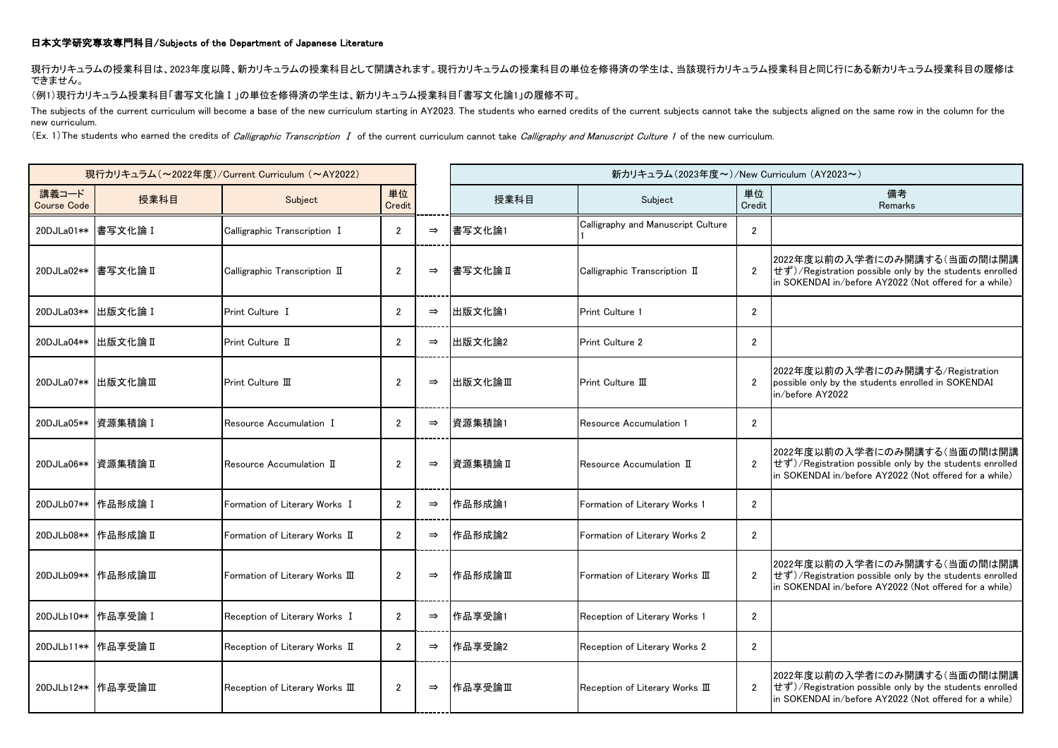## 日本文学研究専攻専門科目/Subjects of the Department of Japanese Literature

現行カリキュラムの授業科目は、2023年度以降、新カリキュラムの授業科目として開講されます。現行カリキュラムの授業科目の単位を修得済の学生は、当該現行カリキュラム授業科目と同じ行にある新カリキュラム授業科目の履修は できません。

(例1)現行カリキュラム授業科目「書写文化論Ⅰ」の単位を修得済の学生は、新カリキュラム授業科目「書写文化論1」の履修不可。

The subjects of the current curriculum will become a base of the new curriculum starting in AY2023. The students who earned credits of the current subjects cannot take the subjects aligned on the same row in the column for new curriculum.

(Ex. 1) The students who earned the credits of Calligraphic Transcription I of the current curriculum cannot take Calligraphy and Manuscript Culture 1 of the new curriculum.

| 現行カリキュラム (~2022年度)/Current Curriculum (~AY2022) |                       |                                 |                      |               | 新カリキュラム(2023年度~)/New Curriculum (AY2023~) |                                               |                |                                                                                                                                                                         |
|-------------------------------------------------|-----------------------|---------------------------------|----------------------|---------------|-------------------------------------------|-----------------------------------------------|----------------|-------------------------------------------------------------------------------------------------------------------------------------------------------------------------|
| 講義コード<br><b>Course Code</b>                     | 授業科目                  | Subject                         | 単位<br>Credit         |               | 授業科目                                      | Subject                                       | 単位<br>Credit   | 備考<br>Remarks                                                                                                                                                           |
|                                                 | 20DJLa01**   書写文化論 I  | Calligraphic Transcription I    | $\overline{2}$       | $\Rightarrow$ | 書写文化論1                                    | Calligraphy and Manuscript Culture            | $\overline{2}$ |                                                                                                                                                                         |
|                                                 | 20DJLa02** 書写文化論 II   | Calligraphic Transcription II   | $\overline{2}$       | $\Rightarrow$ | 書写文化論II                                   | Calligraphic Transcription II                 | $\overline{2}$ | 2022年度以前の入学者にのみ開講する(当面の間は開講<br>せず)/Registration possible only by the students enrolled<br>in SOKENDAI in/before AY2022 (Not offered for a while)                        |
|                                                 | 20DJLa03** 出版文化論 I    | Print Culture I                 | $\overline{2}$       | $\Rightarrow$ | 出版文化論1                                    | <b>Print Culture 1</b>                        | $\overline{2}$ |                                                                                                                                                                         |
|                                                 | 20DJLa04** 出版文化論 II   | Print Culture II                | $\overline{2}$       | $\Rightarrow$ | 出版文化論2                                    | <b>Print Culture 2</b>                        | $\overline{2}$ |                                                                                                                                                                         |
|                                                 | 20DJLa07** 出版文化論Ⅲ     | Print Culture III               | $\overline{2}$       | $\Rightarrow$ | 出版文化論Ⅲ                                    | Print Culture III                             | $\overline{2}$ | 2022年度以前の入学者にのみ開講する/Registration<br>possible only by the students enrolled in SOKENDAI<br>in/before AY2022                                                              |
|                                                 | 20DJLa05**   資源集積論 I  | Resource Accumulation I         | $\overline{2}$       | $\Rightarrow$ | 資源集積論1                                    | Resource Accumulation 1                       | $\overline{2}$ |                                                                                                                                                                         |
|                                                 | 20DJLa06**   資源集積論 II | Resource Accumulation II        | $\overline{2}$       | $\Rightarrow$ | 資源集積論 II                                  | ${\sf Resource}$ Accumulation $\; {\rm I\!I}$ | $\overline{2}$ | 2022年度以前の入学者にのみ開講する(当面の間は開講<br>せず)/Registration possible only by the students enrolled<br>in SOKENDAI in/before AY2022 (Not offered for a while)                        |
|                                                 | 20DJLb07** 作品形成論 I    | Formation of Literary Works I   | $\mathbf{2}^{\circ}$ | $\Rightarrow$ | 作品形成論1                                    | Formation of Literary Works 1                 | $\overline{2}$ |                                                                                                                                                                         |
|                                                 | 20DJLb08**   作品形成論 II | Formation of Literary Works II  | $\mathbf{2}^{\circ}$ | $\Rightarrow$ | 作品形成論2                                    | Formation of Literary Works 2                 | $\overline{2}$ |                                                                                                                                                                         |
|                                                 |                       | Formation of Literary Works III | $\overline{2}$       | $\Rightarrow$ | 作品形成論Ⅲ                                    | Formation of Literary Works III               | $\overline{2}$ | 2022年度以前の入学者にのみ開講する(当面の間は開講<br>$ \vec{U} \vec{J}\rangle$ /Registration possible only by the students enrolled<br>in SOKENDAI in/before AY2022 (Not offered for a while) |
|                                                 | 20DJLb10** 作品享受論 I    | Reception of Literary Works I   | $\overline{2}$       | $\Rightarrow$ | 作品享受論1                                    | Reception of Literary Works 1                 | $\overline{2}$ |                                                                                                                                                                         |
|                                                 | 20DJLb11** 作品享受論 II   | Reception of Literary Works II  | $\overline{2}$       | $\Rightarrow$ | 作品享受論2                                    | Reception of Literary Works 2                 | $\overline{2}$ |                                                                                                                                                                         |
|                                                 | 20DJLb12**   作品享受論Ⅲ   | Reception of Literary Works III | $\overline{2}$       | $\Rightarrow$ | 作品享受論Ⅲ                                    | Reception of Literary Works III               | $\overline{2}$ | 2022年度以前の入学者にのみ開講する(当面の間は開講<br>せず)/Registration possible only by the students enrolled<br>in SOKENDAI in/before AY2022 (Not offered for a while)                        |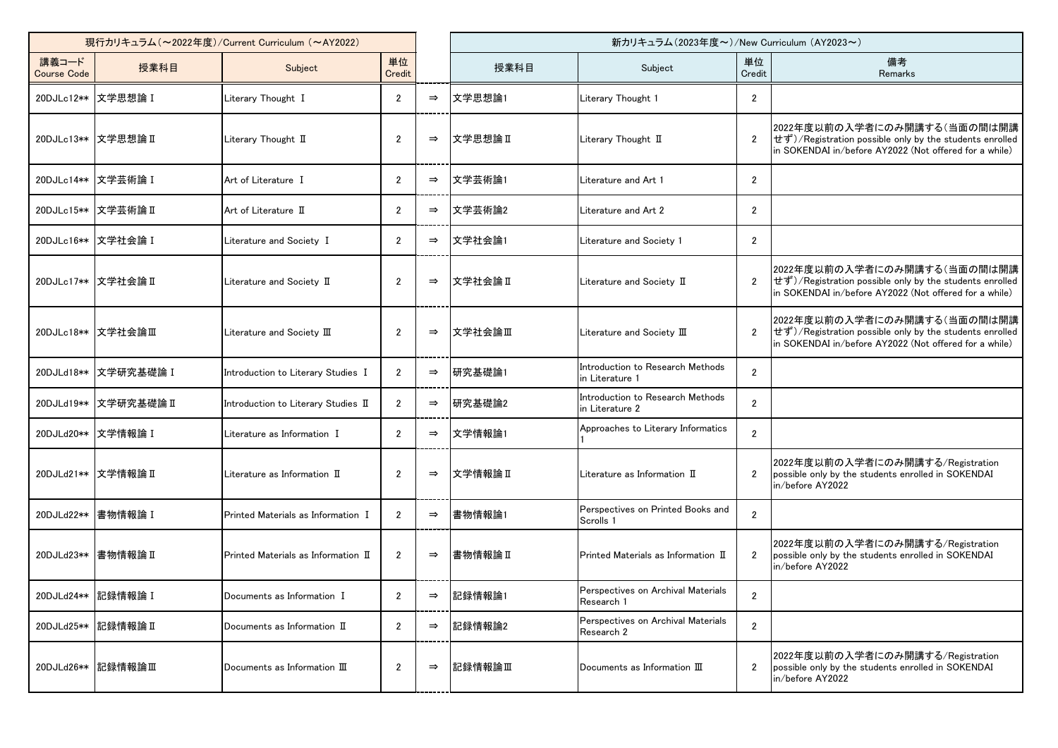| 現行カリキュラム (~2022年度)/Current Curriculum (~AY2022) |                        |                                      |                      |               | 新カリキュラム(2023年度~)/New Curriculum (AY2023~) |                                                     |                       |                                                                                                                                                  |
|-------------------------------------------------|------------------------|--------------------------------------|----------------------|---------------|-------------------------------------------|-----------------------------------------------------|-----------------------|--------------------------------------------------------------------------------------------------------------------------------------------------|
| 講義コード<br><b>Course Code</b>                     | 授業科目                   | Subject                              | 単位<br>Credit         |               | 授業科目                                      | Subject                                             | 単位<br>Credit          | 備考<br>Remarks                                                                                                                                    |
|                                                 | 20DJLc12** 文学思想論 I     | Literary Thought I                   | $\mathbf{2}$         | $\Rightarrow$ | 文学思想論1                                    | Literary Thought 1                                  | $\mathbf{2}$          |                                                                                                                                                  |
|                                                 | 20DJLc13** 文学思想論 II    | Literary Thought II                  | $\overline{2}$       | $\Rightarrow$ | 文学思想論Ⅱ                                    | Literary Thought II                                 | $\overline{2}$        | 2022年度以前の入学者にのみ開講する(当面の間は開講<br>せず)/Registration possible only by the students enrolled<br>in SOKENDAI in/before AY2022 (Not offered for a while) |
|                                                 | 20DJLc14**   文学芸術論 I   | Art of Literature I                  | $\overline{2}$       | $\Rightarrow$ | 文学芸術論1                                    | Literature and Art 1                                | $\overline{2}$        |                                                                                                                                                  |
|                                                 | 20DJLc15**  文学芸術論 II   | Art of Literature II                 | $\overline{2}$       | $\Rightarrow$ | 文学芸術論2                                    | Literature and Art 2                                | $\overline{2}$        |                                                                                                                                                  |
|                                                 | 20DJLc16** 文学社会論 I     | Literature and Society I             | $\mathbf{2}^{\circ}$ | $\Rightarrow$ | 文学社会論1                                    | Literature and Society 1                            | $\overline{2}$        |                                                                                                                                                  |
|                                                 | 20DJLc17** 文学社会論 II    | Literature and Society II            | $\mathbf{2}$         | $\Rightarrow$ | 文学社会論Ⅱ                                    | Literature and Society II                           | $\mathbf{2}$          | 2022年度以前の入学者にのみ開講する(当面の間は開講<br>せず)/Registration possible only by the students enrolled<br>in SOKENDAI in/before AY2022 (Not offered for a while) |
|                                                 | 20DJLc18**   文学社会論Ⅲ    | Literature and Society III           | $\overline{2}$       | $\Rightarrow$ | Ⅰ文学社会論Ⅲ                                   | Literature and Society III                          | $\overline{2}$        | 2022年度以前の入学者にのみ開講する(当面の間は開講<br>せず)/Registration possible only by the students enrolled<br>In SOKENDAI in/before AY2022 (Not offered for a while) |
| 20DJLd18**                                      | 文学研究基礎論 I              | Introduction to Literary Studies I   | $\overline{2}$       | $\Rightarrow$ | 研究基礎論1                                    | Introduction to Research Methods<br>n Literature 1  | $\overline{2}$        |                                                                                                                                                  |
|                                                 | 20DJLd19**  文学研究基礎論 II | Introduction to Literary Studies II  | $\mathbf{2}^{\circ}$ | $\Rightarrow$ | 研究基礎論2                                    | Introduction to Research Methods<br>in Literature 2 | $\mathbf{2}$          |                                                                                                                                                  |
|                                                 | 20DJLd20** 文学情報論 I     | Literature as Information I          | $\overline{2}$       | $\Rightarrow$ | 文学情報論1                                    | Approaches to Literary Informatics                  | $\overline{2}$        |                                                                                                                                                  |
|                                                 | 20DJLd21** 文学情報論 II    | Literature as Information II         | $\overline{2}$       | $\Rightarrow$ | Ⅳ文学情報論Ⅱ                                   | Literature as Information II                        | $\mathbf{2}^{\prime}$ | 2022年度以前の入学者にのみ開講する/Registration<br>possible only by the students enrolled in SOKENDAI<br>in/before AY2022                                       |
| 20DJLd22**                                      | 書物情報論 I                | Printed Materials as Information I   | $\overline{2}$       | $\Rightarrow$ | 書物情報論1                                    | Perspectives on Printed Books and<br>Scrolls 1      | $\mathbf{2}$          |                                                                                                                                                  |
| 20DJLd23**                                      | 書物情報論 II               | Printed Materials as Information II  | $\overline{2}$       | $\Rightarrow$ | 書物情報論II                                   | Printed Materials as Information II                 | $\mathbf{2}$          | 2022年度以前の入学者にのみ開講する/Registration<br>possible only by the students enrolled in SOKENDAI<br>in/before AY2022                                       |
|                                                 | 20DJLd24** 記録情報論 I     | Documents as Information I           | $\mathbf{2}$         | $\Rightarrow$ | 記録情報論1                                    | Perspectives on Archival Materials<br>Research 1    | $\mathbf{2}$          |                                                                                                                                                  |
| 20DJLd25**                                      | 記録情報論Ⅱ                 | Documents as Information II          | $\overline{2}$       | $\Rightarrow$ | 記録情報論2                                    | Perspectives on Archival Materials<br>Research 2    | $\overline{2}$        |                                                                                                                                                  |
|                                                 | 20DJLd26** 記録情報論Ⅲ      | Documents as Information $\mathbb H$ | $\overline{2}$       | $\Rightarrow$ | 記録情報論Ⅲ                                    | Documents as Information $\mathbb I$                | $\mathbf{2}$          | 2022年度以前の入学者にのみ開講する/Registration<br>possible only by the students enrolled in SOKENDAI<br>in/before AY2022                                       |